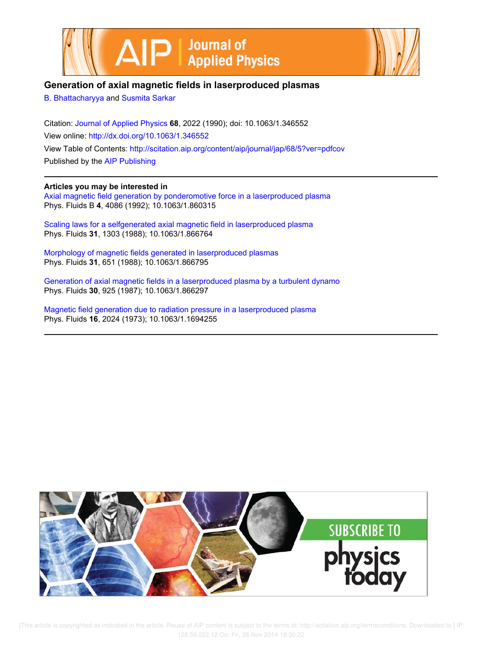



# **Generation of axial magnetic fields in laserproduced plasmas**

B. Bhattacharyya and Susmita Sarkar

Citation: Journal of Applied Physics **68**, 2022 (1990); doi: 10.1063/1.346552 View online: http://dx.doi.org/10.1063/1.346552 View Table of Contents: http://scitation.aip.org/content/aip/journal/jap/68/5?ver=pdfcov Published by the AIP Publishing

## **Articles you may be interested in**

Axial magnetic field generation by ponderomotive force in a laserproduced plasma Phys. Fluids B **4**, 4086 (1992); 10.1063/1.860315

Scaling laws for a selfgenerated axial magnetic field in laserproduced plasma Phys. Fluids **31**, 1303 (1988); 10.1063/1.866764

Morphology of magnetic fields generated in laserproduced plasmas Phys. Fluids **31**, 651 (1988); 10.1063/1.866795

Generation of axial magnetic fields in a laserproduced plasma by a turbulent dynamo Phys. Fluids **30**, 925 (1987); 10.1063/1.866297

Magnetic field generation due to radiation pressure in a laserproduced plasma Phys. Fluids **16**, 2024 (1973); 10.1063/1.1694255



[This article is copyrighted as indicated in the article. Reuse of AIP content is subject to the terms at: http://scitation.aip.org/termsconditions. Downloaded to ] IP: 128.59.222.12 On: Fri, 28 Nov 2014 18:30:22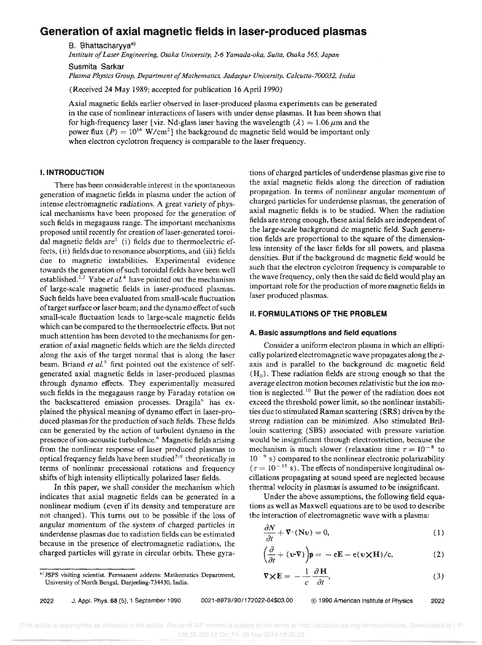# Generation of axial magnetic fields in laser-produced plasmas

B. Bhattacharyya<sup>a)</sup>

*Institute of Laser Engineering, Osaka University,* 2-6 *Yamada-aka, Suita, Osaka* 565, *Japan* 

Susmita Sarkar

*Plasma Physics Group, Department of Mathematics, Jadavpur University. Calcutta-700032, India* 

(Received 24 May 1989; accepted for publication 16 April 1990)

Axial magnetic fields earlier observed in laser-produced plasma experiments can be generated in the case of nonlinear interactions of lasers with under dense plasmas. It has been shown that for high-frequency laser [viz. Nd-glass laser having the wavelength ( $\lambda$ ) = 1.06  $\mu$ m and the power flux  $(P) = 10^{16} \text{ W/cm}^2$  a the background dc magnetic field would be important only when electron cyclotron frequency is comparable to the laser frequency.

## I. INTRODUCTION

There has been considerable interest in the spontaneous generation of magnetic fields in plasma under the action of intense electromagnetic radiations. A great variety of physical mechanisms have been proposed for the generation of such fields in megagauss range. The important mechanisms proposed until recently for creation of laser-generated toroidal magnetic fields are $<sup>1</sup>$  (i) fields due to thermoelectric ef-</sup> fects, (ii) fields due to resonance absorptions, and (iii) fields due to magnetic instabilities. Experimental evidence towards the generation of such toroidal fields have been well established.<sup>2,3</sup> Yabe *et al*.<sup>4</sup> have pointed out the mechanism of large-scale magnetic fields in laser-produced plasmas. Such fields have been evaluated from small-scale fluctuation of target surface or laser beam; and the dynamo effect of such small-scale fluctuation leads to large-scale magnetic fields which can be compared to the thermoelectric effects, But not much attention has been devoted to the mechanisms for generation of axial magnetic fields which are the fields directed along the axis of the target normal that is along the laser beam. Briand *et al.*<sup>5</sup> first pointed out the existence of selfgenerated axial magnetic fields in laser-produced plasmas through dynamo effects. They experimentally measured such fields in the megagauss range by Faraday rotation on the backscattered emission processes. Dragila" has explained the physical meaning of dynamo effect in laser-produced plasmas for the production of such fields. These fields can be generated by the action of turbulent dynamo in the presence of ion-acoustic turbulence.<sup>6</sup> Magnetic fields arising from the nonlinear response of laser produced plasmas to optical frequency fields have been studied<sup>7-9</sup> theoretically in terms of nonlinear precessional rotations and frequency shifts of high intensity elliptically polarized laser fields.

In this paper, we shall consider the mechanism which indicates that axial magnetic fields can be generated in a nonlinear medium (even if its density and temperature are not changed). This turns out to be possible if the loss of angular momentum of the system of charged particles in underdense plasmas due to radiation fields can be estimated because in the presence of electromagnetic radiations, the charged particles will gyrate in circular orbits. These gyra-

a) JSPS visiting scientist. Permanent address: Mathematics Department, University of North Bengal, Darjeeling-734430, India.

tions of charged particles of underdense plasmas give rise to the axial magnetic fields along the direction of radiation propagation. In terms of nonlinear angular momentum of charged particles for underdense plasmas, the generation of axial magnetic fields is to be studied. When the radiation fields are strong enough, these axial fields are independent of the large-scale background de magnetic field. Such generation fields are proportional to the square of the dimensionless intensity of the laser fields for all powers, and plasma densities. But if the background dc magnetic field would be such that the electron cyclotron frequency is comparable to the wave frequency, only then the said dc field would play an important role for the production of more magnetic fields in laser produced plasmas.

## II. FORMULATIONS OF THE PROBLEM

## A. Basic assumptions and field equations

Consider a uniform electron plasma in which an elliptically polarized electromagnetic wave propagates along the *z*axis and is parallel to the background dc magnetic field  $(H_0)$ . These radiation fields are strong enough so that the average electron motion becomes relativistic but the ion motion is neglected.<sup>10</sup> But the power of the radiation does not exceed the threshold power limit, so the nonlinear instabilities due to stimulated Raman scattering (SRS) driven by the strong radiation can be minimized. Also stimulated Brillouin scattering (SBS) associated with pressure variation would be insignificant through electrostriction, because the mechanism is much slower (relaxation time  $\tau = 10^{-8}$  to  $10^{-9}$  s) compared to the nonlinear electronic polarizability  $(\tau = 10^{-15} \text{ s})$ . The effects of nondispersive longitudinal oscillations propagating at sound speed are neglected because thermal velocity in plasmas is assumed to be insignificant.

Under the above assumptions, the following field equations as well as Maxwell equations are to be used to describe the interaction of electromagnetic wave with a plasma:

$$
\frac{\partial N}{\partial t} + \nabla \cdot (\mathbf{N} \mathbf{v}) = 0,\tag{1}
$$

$$
\left(\frac{\partial}{\partial t} + (\mathbf{v} \cdot \nabla)\right) \mathbf{p} = -e\mathbf{E} - e(\mathbf{v} \times \mathbf{H})/c, \tag{2}
$$

$$
\nabla \times \mathbf{E} = -\frac{1}{c} \frac{\partial \mathbf{H}}{\partial t},\tag{3}
$$

2022 J, Appl. Phys. 68 (5),1 September 1990 0021-8979/90/172022-04\$03.00 © 1990 American Institute of Physics 2022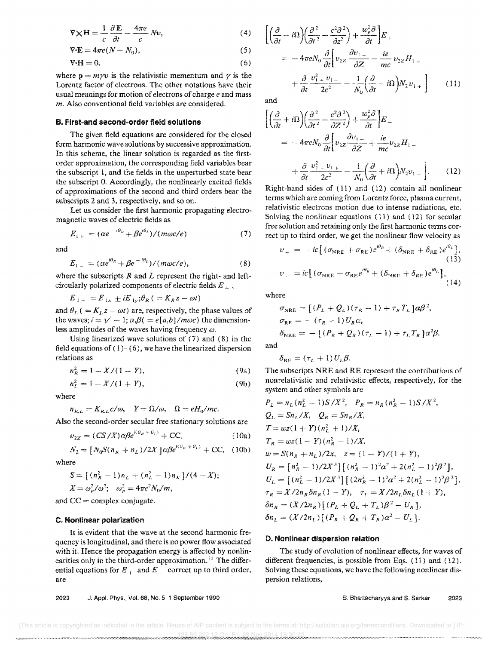$$
\nabla \times \mathbf{H} = \frac{1}{c} \frac{\partial \mathbf{E}}{\partial t} - \frac{4\pi e}{c} N \mathbf{v},\tag{4}
$$

$$
\nabla \cdot \mathbf{E} = 4\pi e (N - N_0),\tag{5}
$$

$$
\nabla \cdot \mathbf{H} = 0,\tag{6}
$$

where  $p = m\gamma v$  is the relativistic mementum and  $\gamma$  is the Lorentz factor of electrons. The other notations have their usual meanings for motion of electrons of charge *e* and mass *m.* Also conventional field variables are considered.

### B. First-and second-order field solutions

The given field equations are considered for the closed form harmonic wave solutions by successive approximation. In this scheme, the linear solution is regarded as the firstorder approximation, the corresponding field variables bear the subscript 1, and the fields in the unperturbed state bear the subscript O. Accordingly, the nonlinearly excited fields of approximations of the second and third orders bear the subscripts 2 and 3, respectively, and so on.

Let us consider the first harmonic propagating electromagnetic waves of electric fields as

$$
E_{1+} = (\alpha e^{-i\theta_R} + \beta e^{i\theta_L})/(m\omega c/e)
$$
 (7)

and

$$
E_{1-} = (\alpha e^{i\theta_R} + \beta e^{-i\theta_L})/(m\omega c/e), \qquad (8)
$$

where the subscripts  $R$  and  $L$  represent the right- and leftcircularly polarized components of electric fields  $E_{+}$ ;

 $E_{1+} = E_{1x} \pm iE_{1y}; \theta_R$  ( $=K_Rz-\omega t$ )

and  $\theta_L$  ( =  $K_L z - \omega t$ ) are, respectively, the phase values of the waves;  $i = \sqrt{-1}$ ;  $\alpha_i \beta$  ( $= e[a,b]/m\omega c$ ) the dimensionless amplitudes of the waves having frequency  $\omega$ .

Using linearized wave solutions of (7) and (8) in the field equations of  $(1)$ - $(6)$ , we have the linearized dispersion relations as

$$
n_R^2 = 1 - X/(1 - Y), \tag{9a}
$$

$$
n_L^2 = 1 - X/(1+Y),
$$
 (9b)

where

 $n_{R,L} = K_{R,L} c/\omega$ ,  $Y = \Omega/\omega$ ,  $\Omega = eH_0/mc$ .

Also the second-order secular free stationary solutions are

$$
v_{2Z} = (CS/X)\alpha \beta e^{i(\theta_R + \theta_L)} + CC,
$$
 (10a)

$$
N_2 = [N_0 S(n_R + n_L)/2X] \alpha \beta e^{i(\theta_R + \theta_L)} + \text{CC}, \quad (10b)
$$

where

$$
S = \left[ (n_R^2 - 1)n_L + (n_L^2 - 1)n_R \right] / (4 - X);
$$
  

$$
X = \omega_p^2 / \omega^2; \quad \omega_p^2 = 4\pi e^2 N_0 / m,
$$

and  $CC =$  complex conjugate.

## c. Nonlinear polarization

It is evident that the wave at the second harmonic frequency is longitudinal, and there is no power flow associated with it. Hence the propagation energy is affected by nonlinearities only in the third-order approximation.<sup>11</sup> The differential equations for  $E_+$  and  $E_-$  correct up to third order, are

2023 J. Appl. Phys., Vol. 68, No.5, 1 September 1990

$$
\begin{aligned}\n&\left[\left(\frac{\partial}{\partial t} - i\Omega\right)\left(\frac{\partial^2}{\partial t^2} - \frac{c^2\partial^2}{\partial z^2}\right) + \frac{w_p^2\partial}{\partial t}\right] E_{+} \\
&= -4\pi e N_0 \frac{\partial}{\partial t} \left[v_{2z} \frac{\partial v_{1+}}{\partial z} - \frac{ie}{mc} v_{2z} H_{1+} \\
&+ \frac{\partial}{\partial t} \frac{v_{1+}^2 v_{1-}}{2c^2} - \frac{1}{N_0} \left(\frac{\partial}{\partial t} - i\Omega\right) N_2 v_{1+}\right]\n\end{aligned} \tag{11}
$$

and

$$
\left[ \left( \frac{\partial}{\partial t} + i \Omega \right) \left( \frac{\partial^2}{\partial t^2} - \frac{c^2 \partial^2}{\partial z^2} \right) + \frac{w_p^2 \partial}{\partial t} \right] E_{-}
$$
\n
$$
= -4 \pi e N_0 \frac{\partial}{\partial t} \left[ v_{2z} \frac{\partial v_{1-}}{\partial z} + \frac{ie}{mc} v_{2z} H_{1-} + \frac{\partial}{\partial t} \frac{v_1^2}{2c^2} - \frac{v_{1+}}{N_0} \left( \frac{\partial}{\partial t} + i \Omega \right) N_2 v_{1-} \right]. \tag{12}
$$

Right-hand sides of (11) and (12) contain all nonlinear terms which are coming from Lorentz force, plasma current, relativistic electrons motion due to intense radiations, etc. Solving the nonlinear equations (11) and (12) for secular free solution and retaining only the first harmonic terms correct up to third order, we get the nonlinear flow velocity as

$$
v_{+} = -ic \left[ (\sigma_{\text{NRE}} + \sigma_{\text{RE}}) e^{i\theta_{R}} + (\delta_{\text{NRE}} + \delta_{\text{RE}}) e^{i\theta_{L}} \right],
$$
  
\n
$$
v_{-} = ic \left[ (\sigma_{\text{NRE}} + \sigma_{\text{RE}} e^{i\theta_{R}} + (\delta_{\text{NRE}} + \delta_{\text{RE}}) e^{i\theta_{L}} \right],
$$
  
\n(14)

where

$$
\sigma_{\text{NRE}} = [(P_L + Q_L)(\tau_R - 1) + \tau_R T_L] \alpha \beta^2,
$$
  
\n
$$
\sigma_{\text{RE}} = -(\tau_R - 1) U_R \alpha,
$$
  
\n
$$
\delta_{\text{NRE}} = -[(P_R + Q_R)(\tau_L - 1) + \tau_L T_R] \alpha^2 \beta,
$$

and

$$
\delta_{\rm RE} = (\tau_L + 1) U_L \beta.
$$

The subscripts NRE and RE represent the contributions of nonrelativistic and relativistic effects, respectively, for the system and other symbols are

$$
P_L = n_L (n_L^2 - 1) S / X^2, \quad P_R = n_R (n_R^2 - 1) S / X^2,
$$
  
\n
$$
Q_L = Sn_L / X, \quad Q_R = Sn_R / X,
$$
  
\n
$$
T = wz(1 + Y)(n_L^2 + 1) / X,
$$
  
\n
$$
T_R = wz(1 - Y)(n_R^2 - 1) / X,
$$
  
\n
$$
w = S(n_R + n_L) / 2x, \quad z = (1 - Y) / (1 + Y),
$$
  
\n
$$
U_R = [n_R^2 - 1) / 2X^3] [(n_R^2 - 1)^2 \alpha^2 + 2(n_L^2 - 1)^2 \beta^2],
$$
  
\n
$$
U_L = [(n_L^2 - 1) / 2X^3] [(2n_R^2 - 1)^2 \alpha^2 + 2(n_L^2 - 1)^2 \beta^2],
$$
  
\n
$$
\tau_R = X / 2n_R \delta n_R (1 - Y), \quad \tau_L = X / 2n_L \delta n_L (1 + Y),
$$
  
\n
$$
\delta n_R = (X / 2n_R) [(P_L + Q_L + T_L) \beta^2 - U_R],
$$
  
\n
$$
\delta n_L = (X / 2n_L) [(P_R + Q_R + T_R) \alpha^2 - U_L].
$$

## D. Nonlinear dispersion relation

The study of evolution of nonlinear effects, for waves of different frequencies, is possible from Eqs. (11) and (12). Solving these equations, we have the following nonlinear dispersion relations,

8. Bhattacharyya and S. Sarkar 2023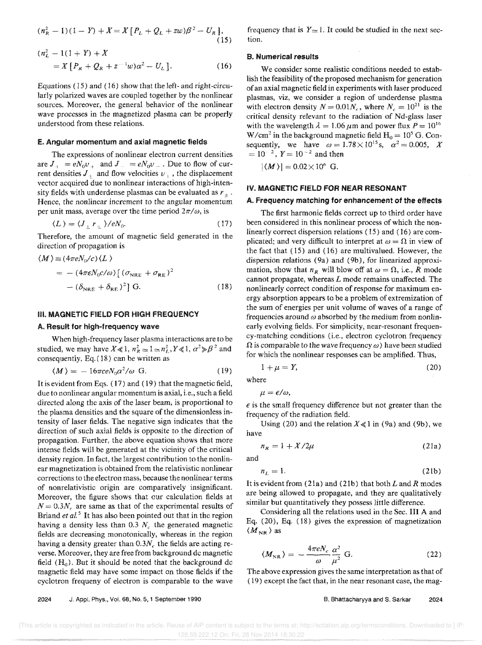$$
(nR2 - 1)(1 - Y) + X = X [PL + QL + zw)\beta2 - UR],
$$
  
(15)

$$
n_{L}^{2} - 1(1 + Y) + X
$$
  
=  $X [P_{R} + Q_{R} + z^{-1}w)\alpha^{2} - U_{L}].$  (16)

Equations (15) and (16) show that the left- and right-circularly polarized waves are coupled together by the nonlinear sources. Moreover, the general behavior of the nonlinear wave processes in the magnetized plasma can be properly understood from these relations.

#### E. Angular momentum and axial magnetic fields

The expressions of nonlinear electron current densities are  $J_+ = eN_0v_+$  and  $J_- = eN_0v_-$ . Due to flow of current densities  $J_{+}$  and flow velocities  $v_{+}$ , the displacement vector acquired due to nonlinear interactions of high-intensity fields with underdense plasmas can be evaluated as  $r_{+}$ . Hence, the nonlinear increment to the angular momentum per unit mass, average over the time period  $2\pi/\omega$ , is

$$
\langle L \rangle = \langle J_{\perp} r_{\perp} \rangle / eN_0. \tag{17}
$$

Therefore, the amount of magnetic field generated in the direction of propagation is

$$
\langle M \rangle = (4\pi e N_0/c) \langle L \rangle
$$
  
= - (4\pi \epsilon N\_0 c/\omega) [( \sigma\_{NRE} + \sigma\_{RE})^2 ]  
- (\delta\_{NRE} + \delta\_{RE})^2 ] G. (18)

#### III. MAGNETIC FIELD FOR HIGH FREQUENCY

#### A. Result for high-frequency wave

When high-frequency laser plasma interactions are to be studied, we may have  $X \ll 1$ ,  $n_R^2 \approx 1 \approx n_L^2$ ,  $Y \ll 1$ ,  $\alpha^2 \gg \beta^2$  and consequently, Eq. ( 18) can be written as

$$
\langle M \rangle = -16\pi c e N_0 \alpha^2/\omega \text{ G.}
$$
 (19)

It is evident from Eqs. (17) and (19) that the magnetic field, due to nonlinear angular momentum is axial, i.e., such a field directed along the axis of the laser beam, is proportional to the plasma densities and the square of the dimensionless intensity of laser fields. The negative sign indicates that the direction of such axial fields is opposite to the direction of propagation. Further, the above equation shows that more intense fields will be generated at the vicinity of the critical density region. In fact, the largest contribution to the nonlinear magnetization is obtained from the relativistic nonlinear corrections to the electron mass, because the nonlinear terms of nonrelativistic origin are comparatively insignificant. Moreover, the figure shows that our calculation fields at  $N = 0.3N_r$  are same as that of the experimental results of Briand *et al.*<sup>5</sup> It has also been pointed out that in the region having a density less than  $0.3$   $N_c$ , the generated magnetic fields are decreasing monotonically, whereas in the region having a density greater than  $0.3N_c$  the fields are acting reverse. Moreover, they are free from background de magnetic field  $(H_0)$ . But it should be noted that the background dc magnetic field may have some impact on those fields if the cyclotron frequeny of electron is comparable to the wave

frequency that is  $Y \approx 1$ . It could be studied in the next section.

#### B. Numerical results

We consider some realistic conditions needed to establish the feasibility of the proposed mechanism for generation of an axial magnetic field in experiments with laser produced plasmas, viz, we consider a region of underdense plasma with electron density  $N = 0.01 N_c$ , where  $N_c = 10^{21}$  is the critical density relevant to the radiation of Nd-glass laser with the wavelength  $\lambda = 1.06 \,\mu \text{m}$  and power flux  $P = 10^{16}$ W/cm<sup>2</sup> in the background magnetic field  $H_0 = 10^5$  G. Consequently, we have  $\omega = 1.78 \times 10^{15}$  s,  $\alpha^2 = 0.005$ , *X*  $= 10^{-2}$ ,  $Y = 10^{-2}$  and then

 $|\langle M \rangle| = 0.02 \times 10^6$  G.

## IV. MAGNETIC FIELD FOR NEAR RESONANT

#### A. Frequency matching for enhancement of the effects

The first harmonic fields correct up to third order have been considered in this nonlinear process of which the nonlinearly correct dispersion relations ( 15) and ( 16) are complicated; and very difficult to interpret at  $\omega = \Omega$  in view of the fact that (15) and (16) are multivalued. However, the dispersion relations (9a) and (9b), for linearized approximation, show that  $n_R$  will blow off at  $\omega = \Omega$ , i.e., *R* mode cannot propagate, whereas  $L$  mode remains unaffected. The nonlinearly correct condition of response for maximum energy absorption appears to be a problem of extremization of the sum of energies per unit volume of waves of a range of frequencies around  $\omega$  absorbed by the medium from nonlinearly evolving fields. For simplicity, near-resonant frequency-matching conditions (i.e., electron cyclotron frequency  $\Omega$  is comparable to the wave frequency  $\omega$ ) have been studied for which the nonlinear responses can be amplified. Thus,

$$
1 + \mu = Y,\tag{20}
$$

where

$$
\mu = \epsilon/\omega,
$$

 $\epsilon$  is the small frequency difference but not greater than the frequency of the radiation field.

Using (20) and the relation  $X \ll 1$  in (9a) and (9b), we have

$$
n_R = 1 + X/2\mu \tag{21a}
$$

and

$$
n_L = 1.\tag{21b}
$$

It is evident from  $(21a)$  and  $(21b)$  that both L and R modes are being allowed to propagate, and they are qualitatively similar but quantitatively they possess little difference.

Considering all the relations used in the Sec. III A and Eq. (20), Eq. (18) gives the expression of magnetization  $\langle M_{NR} \rangle$  as

$$
\langle M_{\rm NR}\rangle = -\frac{4\pi e N_c}{\omega} \frac{\alpha^2}{\mu^2} \text{ G.}
$$
 (22)

The above expression gives the same interpretation as that of ( 19) except the fact that, in the near resonant case, the mag-

2024 J, Appl. Phys., Vol. 68, No.5, 1 September 1990

B. Bhattacharyya and S. Sarkar 2024